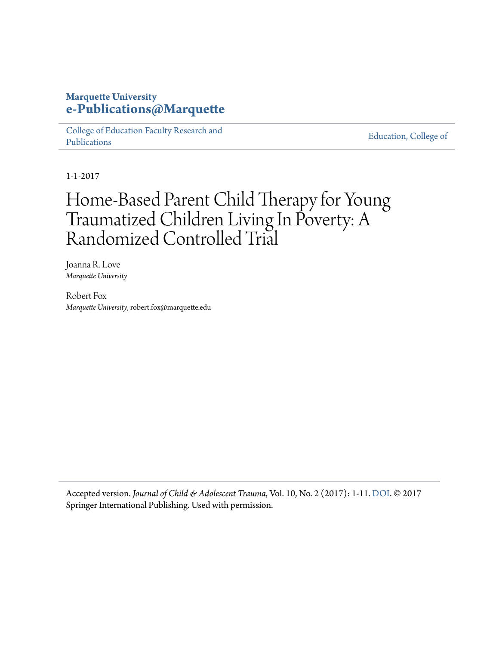# **Marquette University [e-Publications@Marquette](https://epublications.marquette.edu)**

[College of Education Faculty Research and](https://epublications.marquette.edu/edu_fac) [Publications](https://epublications.marquette.edu/edu_fac)

[Education, College of](https://epublications.marquette.edu/education)

1-1-2017

# Home-Based Parent Child Therapy for Young Traumatized Children Living In Poverty: A Randomized Controlled Trial

Joanna R. Love *Marquette University*

Robert Fox *Marquette University*, robert.fox@marquette.edu

Accepted version. *Journal of Child & Adolescent Trauma*, Vol. 10, No. 2 (2017): 1-11. [DOI](https://doi.org/10.1007/s40653-017-0170-z). © 2017 Springer International Publishing. Used with permission.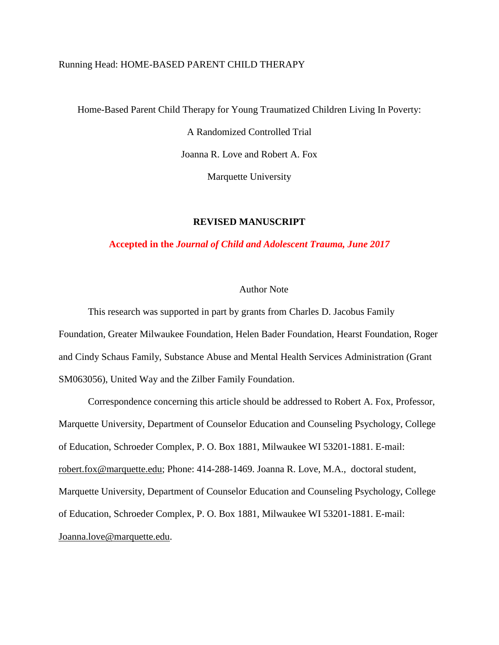# Running Head: HOME-BASED PARENT CHILD THERAPY

Home-Based Parent Child Therapy for Young Traumatized Children Living In Poverty:

A Randomized Controlled Trial

Joanna R. Love and Robert A. Fox

Marquette University

# **REVISED MANUSCRIPT**

# **Accepted in the** *Journal of Child and Adolescent Trauma, June 2017*

# Author Note

This research was supported in part by grants from Charles D. Jacobus Family Foundation, Greater Milwaukee Foundation, Helen Bader Foundation, Hearst Foundation, Roger and Cindy Schaus Family, Substance Abuse and Mental Health Services Administration (Grant SM063056), United Way and the Zilber Family Foundation.

Correspondence concerning this article should be addressed to Robert A. Fox, Professor, Marquette University, Department of Counselor Education and Counseling Psychology, College of Education, Schroeder Complex, P. O. Box 1881, Milwaukee WI 53201-1881. E-mail: [robert.fox@marquette.edu;](mailto:robert.fox@marquette.edu) Phone: 414-288-1469. Joanna R. Love, M.A., doctoral student, Marquette University, Department of Counselor Education and Counseling Psychology, College of Education, Schroeder Complex, P. O. Box 1881, Milwaukee WI 53201-1881. E-mail: [Joanna.love@marquette.edu.](mailto:Joanna.love@marquette.edu)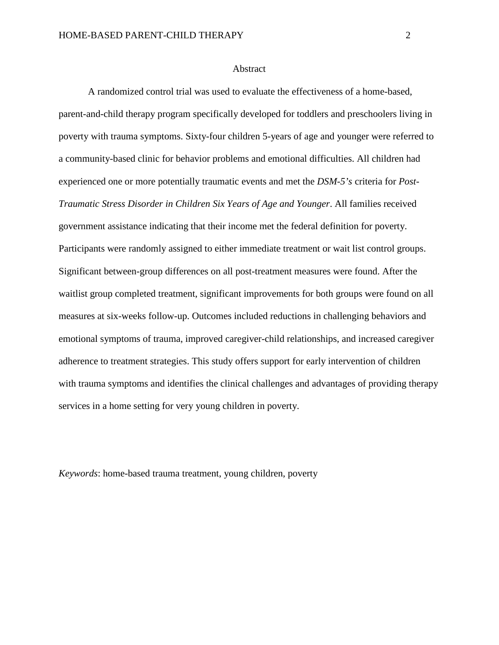#### **Abstract**

A randomized control trial was used to evaluate the effectiveness of a home-based, parent-and-child therapy program specifically developed for toddlers and preschoolers living in poverty with trauma symptoms. Sixty-four children 5-years of age and younger were referred to a community-based clinic for behavior problems and emotional difficulties. All children had experienced one or more potentially traumatic events and met the *DSM-5's* criteria for *Post-Traumatic Stress Disorder in Children Six Years of Age and Younger*. All families received government assistance indicating that their income met the federal definition for poverty. Participants were randomly assigned to either immediate treatment or wait list control groups. Significant between-group differences on all post-treatment measures were found. After the waitlist group completed treatment, significant improvements for both groups were found on all measures at six-weeks follow-up. Outcomes included reductions in challenging behaviors and emotional symptoms of trauma, improved caregiver-child relationships, and increased caregiver adherence to treatment strategies. This study offers support for early intervention of children with trauma symptoms and identifies the clinical challenges and advantages of providing therapy services in a home setting for very young children in poverty.

*Keywords*: home-based trauma treatment, young children, poverty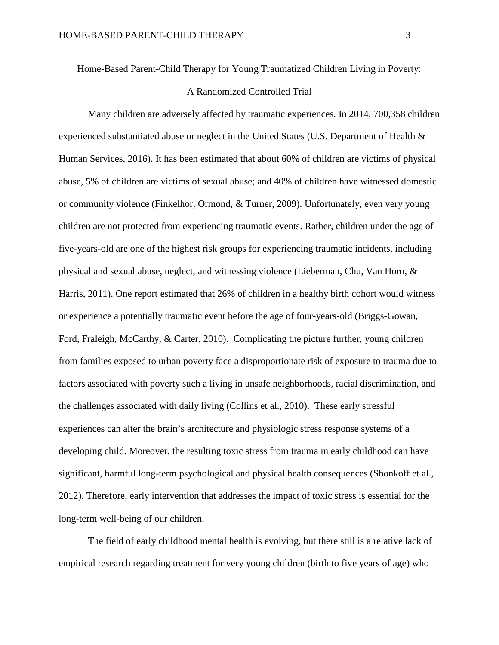Home-Based Parent-Child Therapy for Young Traumatized Children Living in Poverty:

# A Randomized Controlled Trial

Many children are adversely affected by traumatic experiences. In 2014, 700,358 children experienced substantiated abuse or neglect in the United States (U.S. Department of Health & Human Services, 2016). It has been estimated that about 60% of children are victims of physical abuse, 5% of children are victims of sexual abuse; and 40% of children have witnessed domestic or community violence (Finkelhor, Ormond, & Turner, 2009). Unfortunately, even very young children are not protected from experiencing traumatic events. Rather, children under the age of five-years-old are one of the highest risk groups for experiencing traumatic incidents, including physical and sexual abuse, neglect, and witnessing violence (Lieberman, Chu, Van Horn, & Harris, 2011). One report estimated that 26% of children in a healthy birth cohort would witness or experience a potentially traumatic event before the age of four-years-old (Briggs-Gowan, Ford, Fraleigh, McCarthy, & Carter, 2010). Complicating the picture further, young children from families exposed to urban poverty face a disproportionate risk of exposure to trauma due to factors associated with poverty such a living in unsafe neighborhoods, racial discrimination, and the challenges associated with daily living (Collins et al., 2010). These early stressful experiences can alter the brain's architecture and physiologic stress response systems of a developing child. Moreover, the resulting toxic stress from trauma in early childhood can have significant, harmful long-term psychological and physical health consequences (Shonkoff et al., 2012). Therefore, early intervention that addresses the impact of toxic stress is essential for the long-term well-being of our children.

The field of early childhood mental health is evolving, but there still is a relative lack of empirical research regarding treatment for very young children (birth to five years of age) who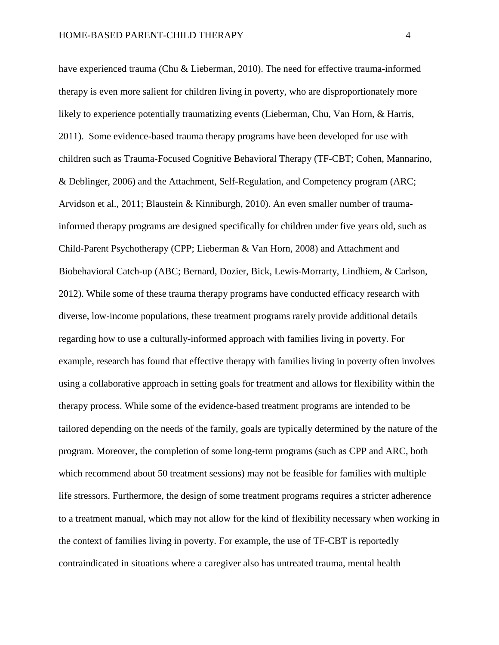have experienced trauma (Chu & Lieberman, 2010). The need for effective trauma-informed therapy is even more salient for children living in poverty, who are disproportionately more likely to experience potentially traumatizing events (Lieberman, Chu, Van Horn, & Harris, 2011). Some evidence-based trauma therapy programs have been developed for use with children such as Trauma-Focused Cognitive Behavioral Therapy (TF-CBT; Cohen, Mannarino, & Deblinger, 2006) and the Attachment, Self-Regulation, and Competency program (ARC; Arvidson et al., 2011; Blaustein & Kinniburgh, 2010). An even smaller number of traumainformed therapy programs are designed specifically for children under five years old, such as Child-Parent Psychotherapy (CPP; Lieberman & Van Horn, 2008) and Attachment and Biobehavioral Catch-up (ABC; Bernard, Dozier, Bick, Lewis-Morrarty, Lindhiem, & Carlson, 2012). While some of these trauma therapy programs have conducted efficacy research with diverse, low-income populations, these treatment programs rarely provide additional details regarding how to use a culturally-informed approach with families living in poverty. For example, research has found that effective therapy with families living in poverty often involves using a collaborative approach in setting goals for treatment and allows for flexibility within the therapy process. While some of the evidence-based treatment programs are intended to be tailored depending on the needs of the family, goals are typically determined by the nature of the program. Moreover, the completion of some long-term programs (such as CPP and ARC, both which recommend about 50 treatment sessions) may not be feasible for families with multiple life stressors. Furthermore, the design of some treatment programs requires a stricter adherence to a treatment manual, which may not allow for the kind of flexibility necessary when working in the context of families living in poverty. For example, the use of TF-CBT is reportedly contraindicated in situations where a caregiver also has untreated trauma, mental health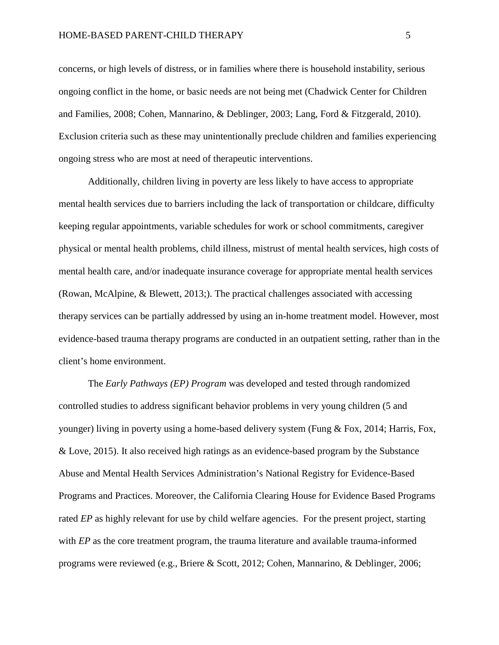concerns, or high levels of distress, or in families where there is household instability, serious ongoing conflict in the home, or basic needs are not being met (Chadwick Center for Children and Families, 2008; Cohen, Mannarino, & Deblinger, 2003; Lang, Ford & Fitzgerald, 2010). Exclusion criteria such as these may unintentionally preclude children and families experiencing ongoing stress who are most at need of therapeutic interventions.

Additionally, children living in poverty are less likely to have access to appropriate mental health services due to barriers including the lack of transportation or childcare, difficulty keeping regular appointments, variable schedules for work or school commitments, caregiver physical or mental health problems, child illness, mistrust of mental health services, high costs of mental health care, and/or inadequate insurance coverage for appropriate mental health services (Rowan, McAlpine, & Blewett, 2013;). The practical challenges associated with accessing therapy services can be partially addressed by using an in-home treatment model. However, most evidence-based trauma therapy programs are conducted in an outpatient setting, rather than in the client's home environment.

The *Early Pathways (EP) Program* was developed and tested through randomized controlled studies to address significant behavior problems in very young children (5 and younger) living in poverty using a home-based delivery system (Fung & Fox, 2014; Harris, Fox, & Love, 2015). It also received high ratings as an evidence-based program by the Substance Abuse and Mental Health Services Administration's National Registry for Evidence-Based Programs and Practices. Moreover, the California Clearing House for Evidence Based Programs rated *EP* as highly relevant for use by child welfare agencies. For the present project, starting with *EP* as the core treatment program, the trauma literature and available trauma-informed programs were reviewed (e.g., Briere & Scott, 2012; Cohen, Mannarino, & Deblinger, 2006;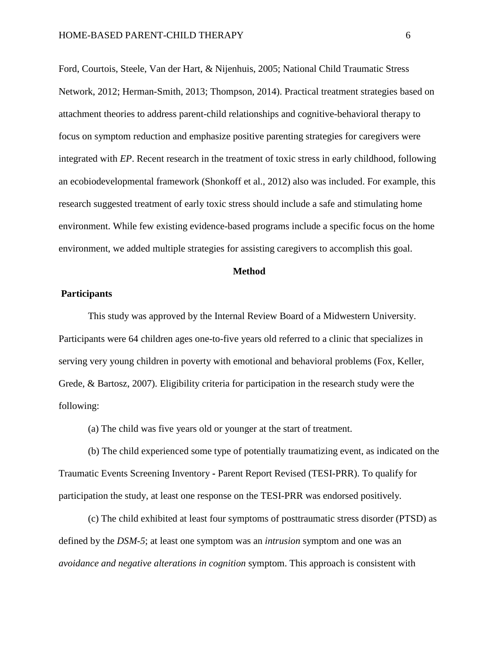Ford, Courtois, Steele, Van der Hart, & Nijenhuis, 2005; National Child Traumatic Stress Network, 2012; Herman-Smith, 2013; Thompson, 2014). Practical treatment strategies based on attachment theories to address parent-child relationships and cognitive-behavioral therapy to focus on symptom reduction and emphasize positive parenting strategies for caregivers were integrated with *EP*. Recent research in the treatment of toxic stress in early childhood, following an ecobiodevelopmental framework (Shonkoff et al., 2012) also was included. For example, this research suggested treatment of early toxic stress should include a safe and stimulating home environment. While few existing evidence-based programs include a specific focus on the home environment, we added multiple strategies for assisting caregivers to accomplish this goal.

# **Method**

# **Participants**

This study was approved by the Internal Review Board of a Midwestern University. Participants were 64 children ages one-to-five years old referred to a clinic that specializes in serving very young children in poverty with emotional and behavioral problems (Fox, Keller, Grede, & Bartosz, 2007). Eligibility criteria for participation in the research study were the following:

(a) The child was five years old or younger at the start of treatment.

(b) The child experienced some type of potentially traumatizing event, as indicated on the Traumatic Events Screening Inventory **-** Parent Report Revised (TESI-PRR). To qualify for participation the study, at least one response on the TESI-PRR was endorsed positively.

(c) The child exhibited at least four symptoms of posttraumatic stress disorder (PTSD) as defined by the *DSM-5*; at least one symptom was an *intrusion* symptom and one was an *avoidance and negative alterations in cognition* symptom. This approach is consistent with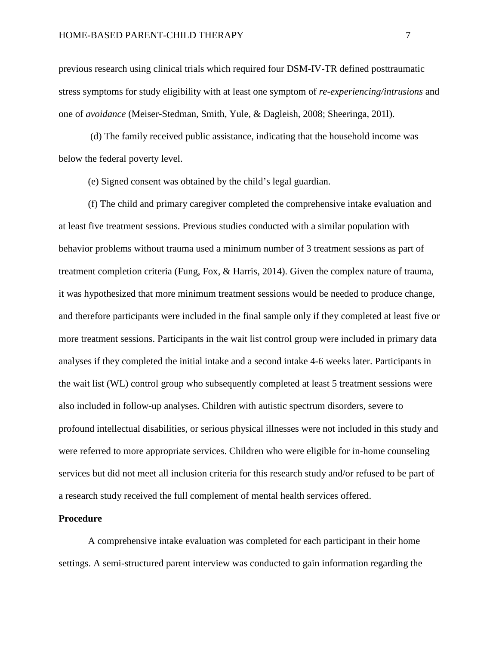previous research using clinical trials which required four DSM-IV-TR defined posttraumatic stress symptoms for study eligibility with at least one symptom of *re-experiencing/intrusions* and one of *avoidance* (Meiser-Stedman, Smith, Yule, & Dagleish, 2008; Sheeringa, 201l).

(d) The family received public assistance, indicating that the household income was below the federal poverty level.

(e) Signed consent was obtained by the child's legal guardian.

(f) The child and primary caregiver completed the comprehensive intake evaluation and at least five treatment sessions. Previous studies conducted with a similar population with behavior problems without trauma used a minimum number of 3 treatment sessions as part of treatment completion criteria (Fung, Fox, & Harris, 2014). Given the complex nature of trauma, it was hypothesized that more minimum treatment sessions would be needed to produce change, and therefore participants were included in the final sample only if they completed at least five or more treatment sessions. Participants in the wait list control group were included in primary data analyses if they completed the initial intake and a second intake 4-6 weeks later. Participants in the wait list (WL) control group who subsequently completed at least 5 treatment sessions were also included in follow-up analyses. Children with autistic spectrum disorders, severe to profound intellectual disabilities, or serious physical illnesses were not included in this study and were referred to more appropriate services. Children who were eligible for in-home counseling services but did not meet all inclusion criteria for this research study and/or refused to be part of a research study received the full complement of mental health services offered.

#### **Procedure**

A comprehensive intake evaluation was completed for each participant in their home settings. A semi-structured parent interview was conducted to gain information regarding the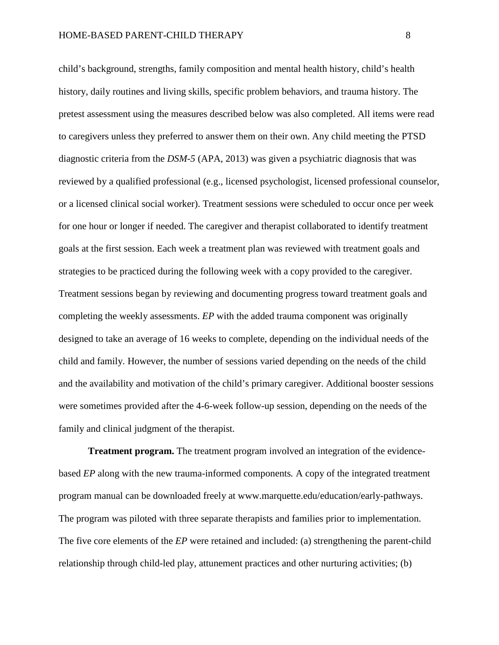child's background, strengths, family composition and mental health history, child's health history, daily routines and living skills, specific problem behaviors, and trauma history. The pretest assessment using the measures described below was also completed. All items were read to caregivers unless they preferred to answer them on their own. Any child meeting the PTSD diagnostic criteria from the *DSM-5* (APA, 2013) was given a psychiatric diagnosis that was reviewed by a qualified professional (e.g., licensed psychologist, licensed professional counselor, or a licensed clinical social worker). Treatment sessions were scheduled to occur once per week for one hour or longer if needed. The caregiver and therapist collaborated to identify treatment goals at the first session. Each week a treatment plan was reviewed with treatment goals and strategies to be practiced during the following week with a copy provided to the caregiver. Treatment sessions began by reviewing and documenting progress toward treatment goals and completing the weekly assessments. *EP* with the added trauma component was originally designed to take an average of 16 weeks to complete, depending on the individual needs of the child and family. However, the number of sessions varied depending on the needs of the child and the availability and motivation of the child's primary caregiver. Additional booster sessions were sometimes provided after the 4-6-week follow-up session, depending on the needs of the family and clinical judgment of the therapist.

**Treatment program.** The treatment program involved an integration of the evidencebased *EP* along with the new trauma-informed components*.* A copy of the integrated treatment program manual can be downloaded freely at www.marquette.edu/education/early-pathways. The program was piloted with three separate therapists and families prior to implementation. The five core elements of the *EP* were retained and included: (a) strengthening the parent-child relationship through child-led play, attunement practices and other nurturing activities; (b)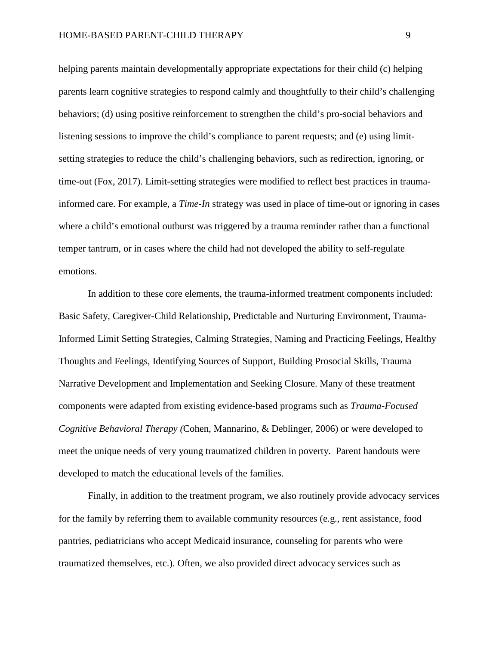helping parents maintain developmentally appropriate expectations for their child (c) helping parents learn cognitive strategies to respond calmly and thoughtfully to their child's challenging behaviors; (d) using positive reinforcement to strengthen the child's pro-social behaviors and listening sessions to improve the child's compliance to parent requests; and (e) using limitsetting strategies to reduce the child's challenging behaviors, such as redirection, ignoring, or time-out (Fox, 2017). Limit-setting strategies were modified to reflect best practices in traumainformed care. For example, a *Time-In* strategy was used in place of time-out or ignoring in cases where a child's emotional outburst was triggered by a trauma reminder rather than a functional temper tantrum, or in cases where the child had not developed the ability to self-regulate emotions.

In addition to these core elements, the trauma-informed treatment components included: Basic Safety, Caregiver-Child Relationship, Predictable and Nurturing Environment, Trauma-Informed Limit Setting Strategies, Calming Strategies, Naming and Practicing Feelings, Healthy Thoughts and Feelings, Identifying Sources of Support, Building Prosocial Skills, Trauma Narrative Development and Implementation and Seeking Closure. Many of these treatment components were adapted from existing evidence-based programs such as *Trauma-Focused Cognitive Behavioral Therapy (*Cohen, Mannarino, & Deblinger, 2006) or were developed to meet the unique needs of very young traumatized children in poverty. Parent handouts were developed to match the educational levels of the families.

Finally, in addition to the treatment program, we also routinely provide advocacy services for the family by referring them to available community resources (e.g., rent assistance, food pantries, pediatricians who accept Medicaid insurance, counseling for parents who were traumatized themselves, etc.). Often, we also provided direct advocacy services such as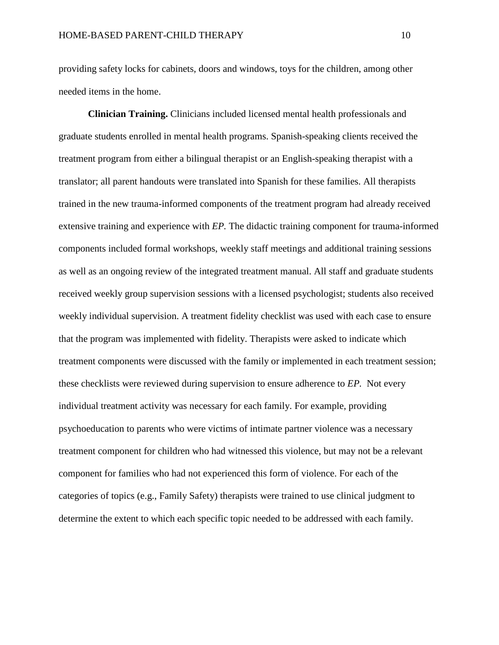providing safety locks for cabinets, doors and windows, toys for the children, among other needed items in the home.

**Clinician Training.** Clinicians included licensed mental health professionals and graduate students enrolled in mental health programs. Spanish-speaking clients received the treatment program from either a bilingual therapist or an English-speaking therapist with a translator; all parent handouts were translated into Spanish for these families. All therapists trained in the new trauma-informed components of the treatment program had already received extensive training and experience with *EP.* The didactic training component for trauma-informed components included formal workshops, weekly staff meetings and additional training sessions as well as an ongoing review of the integrated treatment manual. All staff and graduate students received weekly group supervision sessions with a licensed psychologist; students also received weekly individual supervision. A treatment fidelity checklist was used with each case to ensure that the program was implemented with fidelity. Therapists were asked to indicate which treatment components were discussed with the family or implemented in each treatment session; these checklists were reviewed during supervision to ensure adherence to *EP.* Not every individual treatment activity was necessary for each family. For example, providing psychoeducation to parents who were victims of intimate partner violence was a necessary treatment component for children who had witnessed this violence, but may not be a relevant component for families who had not experienced this form of violence. For each of the categories of topics (e.g., Family Safety) therapists were trained to use clinical judgment to determine the extent to which each specific topic needed to be addressed with each family.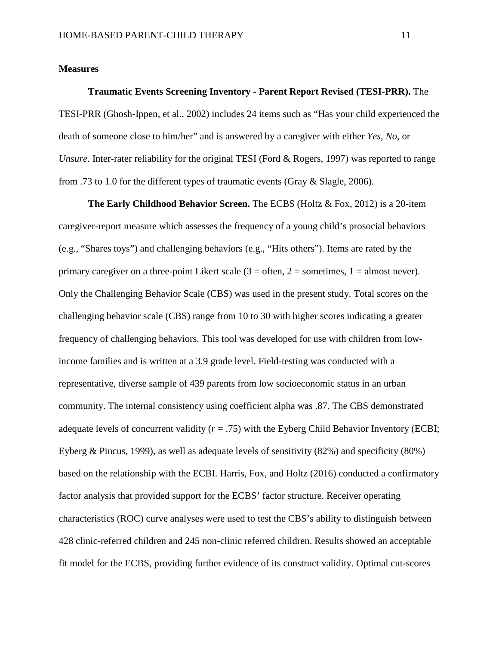## **Measures**

**Traumatic Events Screening Inventory - Parent Report Revised (TESI-PRR).** The TESI-PRR (Ghosh-Ippen, et al., 2002) includes 24 items such as "Has your child experienced the death of someone close to him/her" and is answered by a caregiver with either *Yes*, *No*, or *Unsure*. Inter-rater reliability for the original TESI (Ford & Rogers, 1997) was reported to range from .73 to 1.0 for the different types of traumatic events (Gray & Slagle, 2006).

**The Early Childhood Behavior Screen.** The ECBS (Holtz & Fox, 2012) is a 20-item caregiver-report measure which assesses the frequency of a young child's prosocial behaviors (e.g., "Shares toys") and challenging behaviors (e.g., "Hits others"). Items are rated by the primary caregiver on a three-point Likert scale  $(3 = \text{often}, 2 = \text{sometimes}, 1 = \text{almost never})$ . Only the Challenging Behavior Scale (CBS) was used in the present study. Total scores on the challenging behavior scale (CBS) range from 10 to 30 with higher scores indicating a greater frequency of challenging behaviors. This tool was developed for use with children from lowincome families and is written at a 3.9 grade level. Field-testing was conducted with a representative, diverse sample of 439 parents from low socioeconomic status in an urban community. The internal consistency using coefficient alpha was .87. The CBS demonstrated adequate levels of concurrent validity  $(r = .75)$  with the Eyberg Child Behavior Inventory (ECBI; Eyberg & Pincus, 1999), as well as adequate levels of sensitivity (82%) and specificity (80%) based on the relationship with the ECBI. Harris, Fox, and Holtz (2016) conducted a confirmatory factor analysis that provided support for the ECBS' factor structure. Receiver operating characteristics (ROC) curve analyses were used to test the CBS's ability to distinguish between 428 clinic-referred children and 245 non-clinic referred children. Results showed an acceptable fit model for the ECBS, providing further evidence of its construct validity. Optimal cut-scores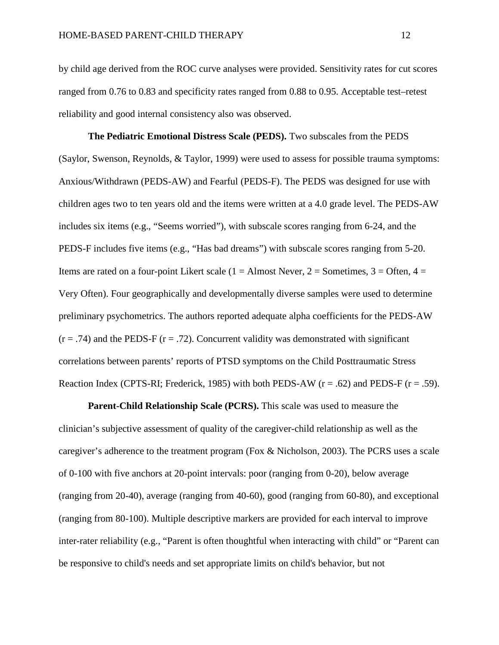by child age derived from the ROC curve analyses were provided. Sensitivity rates for cut scores ranged from 0.76 to 0.83 and specificity rates ranged from 0.88 to 0.95. Acceptable test–retest reliability and good internal consistency also was observed.

**The Pediatric Emotional Distress Scale (PEDS).** Two subscales from the PEDS (Saylor, Swenson, Reynolds, & Taylor, 1999) were used to assess for possible trauma symptoms: Anxious/Withdrawn (PEDS-AW) and Fearful (PEDS-F). The PEDS was designed for use with children ages two to ten years old and the items were written at a 4.0 grade level. The PEDS-AW includes six items (e.g., "Seems worried"), with subscale scores ranging from 6-24, and the PEDS-F includes five items (e.g., "Has bad dreams") with subscale scores ranging from 5-20. Items are rated on a four-point Likert scale ( $1 =$  Almost Never,  $2 =$  Sometimes,  $3 =$  Often,  $4 =$ Very Often). Four geographically and developmentally diverse samples were used to determine preliminary psychometrics. The authors reported adequate alpha coefficients for the PEDS-AW  $(r = .74)$  and the PEDS-F  $(r = .72)$ . Concurrent validity was demonstrated with significant correlations between parents' reports of PTSD symptoms on the Child Posttraumatic Stress Reaction Index (CPTS-RI; Frederick, 1985) with both PEDS-AW ( $r = .62$ ) and PEDS-F ( $r = .59$ ).

**Parent-Child Relationship Scale (PCRS).** This scale was used to measure the clinician's subjective assessment of quality of the caregiver-child relationship as well as the caregiver's adherence to the treatment program (Fox & Nicholson, 2003). The PCRS uses a scale of 0-100 with five anchors at 20-point intervals: poor (ranging from 0-20), below average (ranging from 20-40), average (ranging from 40-60), good (ranging from 60-80), and exceptional (ranging from 80-100). Multiple descriptive markers are provided for each interval to improve inter-rater reliability (e.g., "Parent is often thoughtful when interacting with child" or "Parent can be responsive to child's needs and set appropriate limits on child's behavior, but not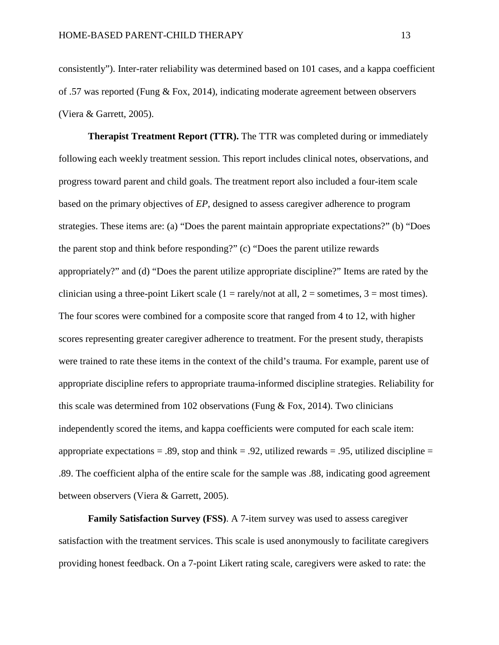consistently"). Inter-rater reliability was determined based on 101 cases, and a kappa coefficient of .57 was reported (Fung & Fox, 2014), indicating moderate agreement between observers (Viera & Garrett, 2005).

**Therapist Treatment Report (TTR).** The TTR was completed during or immediately following each weekly treatment session. This report includes clinical notes, observations, and progress toward parent and child goals. The treatment report also included a four-item scale based on the primary objectives of *EP*, designed to assess caregiver adherence to program strategies. These items are: (a) "Does the parent maintain appropriate expectations?" (b) "Does the parent stop and think before responding?" (c) "Does the parent utilize rewards appropriately?" and (d) "Does the parent utilize appropriate discipline?" Items are rated by the clinician using a three-point Likert scale  $(1 = \text{rarely/not at all}, 2 = \text{sometimes}, 3 = \text{most times}).$ The four scores were combined for a composite score that ranged from 4 to 12, with higher scores representing greater caregiver adherence to treatment. For the present study, therapists were trained to rate these items in the context of the child's trauma. For example, parent use of appropriate discipline refers to appropriate trauma-informed discipline strategies. Reliability for this scale was determined from 102 observations (Fung  $\&$  Fox, 2014). Two clinicians independently scored the items, and kappa coefficients were computed for each scale item: appropriate expectations = .89, stop and think = .92, utilized rewards = .95, utilized discipline = .89. The coefficient alpha of the entire scale for the sample was .88, indicating good agreement between observers (Viera & Garrett, 2005).

**Family Satisfaction Survey (FSS)**. A 7-item survey was used to assess caregiver satisfaction with the treatment services. This scale is used anonymously to facilitate caregivers providing honest feedback. On a 7-point Likert rating scale, caregivers were asked to rate: the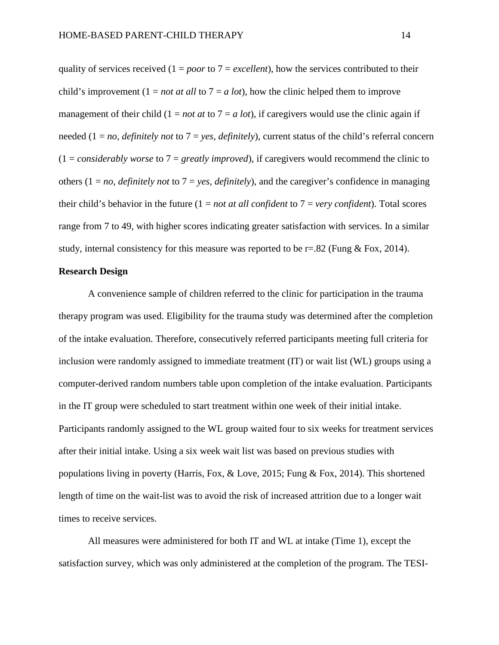quality of services received  $(1 = poor to 7 = excellent)$ , how the services contributed to their child's improvement  $(1 = not at all to 7 = a lot)$ , how the clinic helped them to improve management of their child  $(1 = not at to 7 = a lot)$ , if caregivers would use the clinic again if needed (1 = *no, definitely not* to 7 = *yes, definitely*), current status of the child's referral concern  $(1 = \text{considerably worse to } 7 = \text{greatly improved})$ , if caregivers would recommend the clinic to others  $(1 = no, definitely not to 7 = yes, definitely)$ , and the caregiver's confidence in managing their child's behavior in the future  $(1 = not at all confident to 7 = very confident)$ . Total scores range from 7 to 49, with higher scores indicating greater satisfaction with services. In a similar study, internal consistency for this measure was reported to be  $r=.82$  (Fung & Fox, 2014).

# **Research Design**

A convenience sample of children referred to the clinic for participation in the trauma therapy program was used. Eligibility for the trauma study was determined after the completion of the intake evaluation. Therefore, consecutively referred participants meeting full criteria for inclusion were randomly assigned to immediate treatment (IT) or wait list (WL) groups using a computer-derived random numbers table upon completion of the intake evaluation. Participants in the IT group were scheduled to start treatment within one week of their initial intake. Participants randomly assigned to the WL group waited four to six weeks for treatment services after their initial intake. Using a six week wait list was based on previous studies with populations living in poverty (Harris, Fox, & Love, 2015; Fung & Fox, 2014). This shortened length of time on the wait-list was to avoid the risk of increased attrition due to a longer wait times to receive services.

All measures were administered for both IT and WL at intake (Time 1), except the satisfaction survey, which was only administered at the completion of the program. The TESI-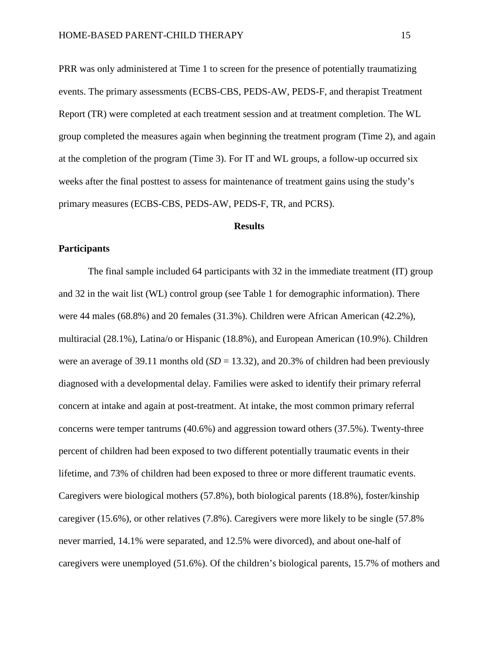PRR was only administered at Time 1 to screen for the presence of potentially traumatizing events. The primary assessments (ECBS-CBS, PEDS-AW, PEDS-F, and therapist Treatment Report (TR) were completed at each treatment session and at treatment completion. The WL group completed the measures again when beginning the treatment program (Time 2), and again at the completion of the program (Time 3). For IT and WL groups, a follow-up occurred six weeks after the final posttest to assess for maintenance of treatment gains using the study's primary measures (ECBS-CBS, PEDS-AW, PEDS-F, TR, and PCRS).

#### **Results**

# **Participants**

The final sample included 64 participants with 32 in the immediate treatment (IT) group and 32 in the wait list (WL) control group (see Table 1 for demographic information). There were 44 males (68.8%) and 20 females (31.3%). Children were African American (42.2%), multiracial (28.1%), Latina/o or Hispanic (18.8%), and European American (10.9%). Children were an average of 39.11 months old  $(SD = 13.32)$ , and 20.3% of children had been previously diagnosed with a developmental delay. Families were asked to identify their primary referral concern at intake and again at post-treatment. At intake, the most common primary referral concerns were temper tantrums (40.6%) and aggression toward others (37.5%). Twenty-three percent of children had been exposed to two different potentially traumatic events in their lifetime, and 73% of children had been exposed to three or more different traumatic events. Caregivers were biological mothers (57.8%), both biological parents (18.8%), foster/kinship caregiver (15.6%), or other relatives (7.8%). Caregivers were more likely to be single (57.8% never married, 14.1% were separated, and 12.5% were divorced), and about one-half of caregivers were unemployed (51.6%). Of the children's biological parents, 15.7% of mothers and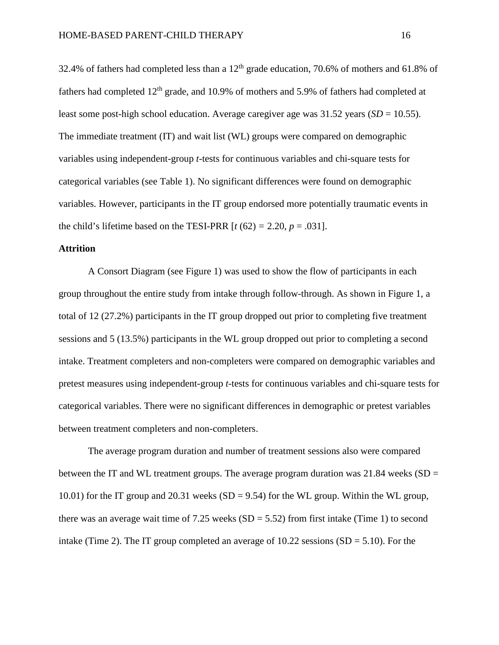32.4% of fathers had completed less than a  $12<sup>th</sup>$  grade education, 70.6% of mothers and 61.8% of fathers had completed  $12<sup>th</sup>$  grade, and 10.9% of mothers and 5.9% of fathers had completed at least some post-high school education. Average caregiver age was 31.52 years (*SD* = 10.55). The immediate treatment (IT) and wait list (WL) groups were compared on demographic variables using independent-group *t-*tests for continuous variables and chi-square tests for categorical variables (see Table 1). No significant differences were found on demographic variables. However, participants in the IT group endorsed more potentially traumatic events in the child's lifetime based on the TESI-PRR  $[t(62) = 2.20, p = .031]$ .

# **Attrition**

A Consort Diagram (see Figure 1) was used to show the flow of participants in each group throughout the entire study from intake through follow-through. As shown in Figure 1, a total of 12 (27.2%) participants in the IT group dropped out prior to completing five treatment sessions and 5 (13.5%) participants in the WL group dropped out prior to completing a second intake. Treatment completers and non-completers were compared on demographic variables and pretest measures using independent-group *t*-tests for continuous variables and chi-square tests for categorical variables. There were no significant differences in demographic or pretest variables between treatment completers and non-completers.

The average program duration and number of treatment sessions also were compared between the IT and WL treatment groups. The average program duration was  $21.84$  weeks (SD = 10.01) for the IT group and 20.31 weeks  $(SD = 9.54)$  for the WL group. Within the WL group, there was an average wait time of  $7.25$  weeks (SD =  $5.52$ ) from first intake (Time 1) to second intake (Time 2). The IT group completed an average of  $10.22$  sessions (SD = 5.10). For the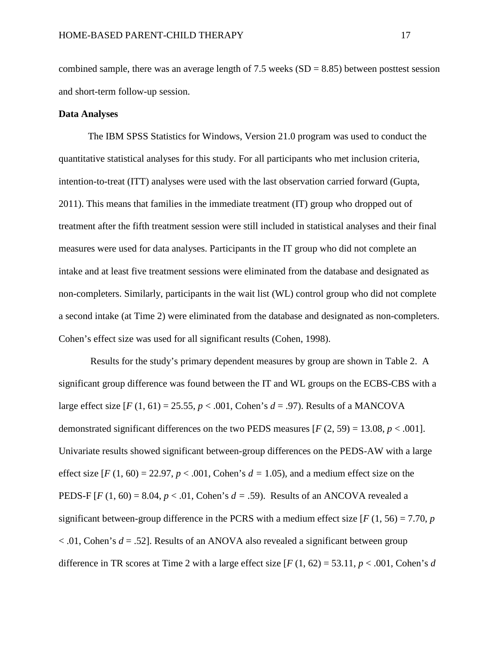combined sample, there was an average length of 7.5 weeks  $(SD = 8.85)$  between posttest session and short-term follow-up session.

# **Data Analyses**

The IBM SPSS Statistics for Windows, Version 21.0 program was used to conduct the quantitative statistical analyses for this study. For all participants who met inclusion criteria, intention-to-treat (ITT) analyses were used with the last observation carried forward (Gupta, 2011). This means that families in the immediate treatment (IT) group who dropped out of treatment after the fifth treatment session were still included in statistical analyses and their final measures were used for data analyses. Participants in the IT group who did not complete an intake and at least five treatment sessions were eliminated from the database and designated as non-completers. Similarly, participants in the wait list (WL) control group who did not complete a second intake (at Time 2) were eliminated from the database and designated as non-completers. Cohen's effect size was used for all significant results (Cohen, 1998).

Results for the study's primary dependent measures by group are shown in Table 2. A significant group difference was found between the IT and WL groups on the ECBS-CBS with a large effect size  $[F(1, 61) = 25.55, p < .001$ , Cohen's  $d = .97$ ). Results of a MANCOVA demonstrated significant differences on the two PEDS measures  $[F (2, 59) = 13.08, p < .001]$ . Univariate results showed significant between-group differences on the PEDS-AW with a large effect size  $[F(1, 60) = 22.97, p < .001, \text{Cohen's } d = 1.05)$ , and a medium effect size on the PEDS-F  $[F(1, 60) = 8.04, p < .01,$  Cohen's  $d = .59$ ). Results of an ANCOVA revealed a significant between-group difference in the PCRS with a medium effect size  $[F(1, 56) = 7.70, p$ < .01, Cohen's *d* = .52]. Results of an ANOVA also revealed a significant between group difference in TR scores at Time 2 with a large effect size  $[F(1, 62) = 53.11, p < .001,$  Cohen's *d*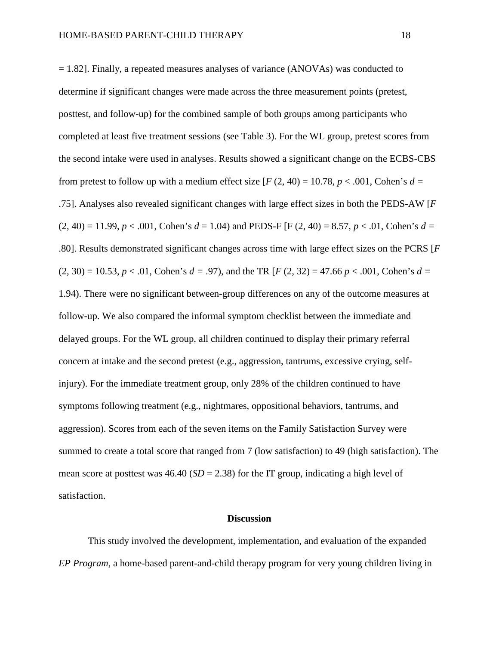$= 1.82$ . Finally, a repeated measures analyses of variance (ANOVAs) was conducted to determine if significant changes were made across the three measurement points (pretest, posttest, and follow-up) for the combined sample of both groups among participants who completed at least five treatment sessions (see Table 3). For the WL group, pretest scores from the second intake were used in analyses. Results showed a significant change on the ECBS-CBS from pretest to follow up with a medium effect size  $[F(2, 40) = 10.78, p < .001$ , Cohen's  $d =$ .75]. Analyses also revealed significant changes with large effect sizes in both the PEDS-AW [*F*  $(2, 40) = 11.99$ ,  $p < .001$ , Cohen's  $d = 1.04$ ) and PEDS-F [F (2, 40) = 8.57,  $p < .01$ , Cohen's  $d =$ .80]. Results demonstrated significant changes across time with large effect sizes on the PCRS [*F*  $(2, 30) = 10.53$ ,  $p < .01$ , Cohen's  $d = .97$ ), and the TR [*F* (2, 32) = 47.66  $p < .001$ , Cohen's  $d =$ 1.94). There were no significant between-group differences on any of the outcome measures at follow-up. We also compared the informal symptom checklist between the immediate and delayed groups. For the WL group, all children continued to display their primary referral concern at intake and the second pretest (e.g., aggression, tantrums, excessive crying, selfinjury). For the immediate treatment group, only 28% of the children continued to have symptoms following treatment (e.g., nightmares, oppositional behaviors, tantrums, and aggression). Scores from each of the seven items on the Family Satisfaction Survey were summed to create a total score that ranged from 7 (low satisfaction) to 49 (high satisfaction). The mean score at posttest was  $46.40$  (*SD* = 2.38) for the IT group, indicating a high level of satisfaction.

#### **Discussion**

This study involved the development, implementation, and evaluation of the expanded *EP Program*, a home-based parent-and-child therapy program for very young children living in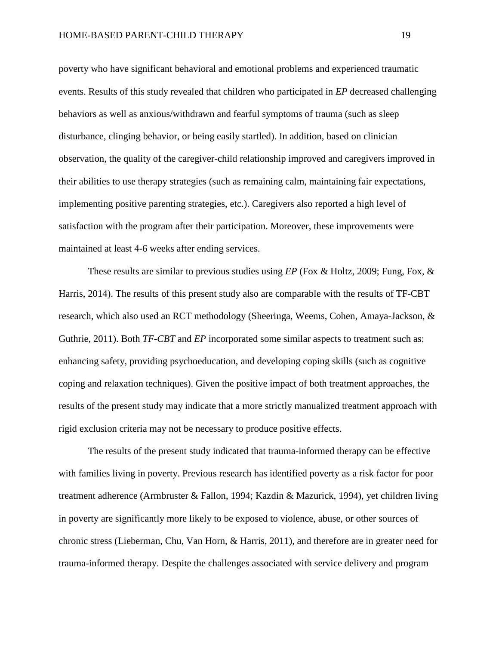poverty who have significant behavioral and emotional problems and experienced traumatic events. Results of this study revealed that children who participated in *EP* decreased challenging behaviors as well as anxious/withdrawn and fearful symptoms of trauma (such as sleep disturbance, clinging behavior, or being easily startled). In addition, based on clinician observation, the quality of the caregiver-child relationship improved and caregivers improved in their abilities to use therapy strategies (such as remaining calm, maintaining fair expectations, implementing positive parenting strategies, etc.). Caregivers also reported a high level of satisfaction with the program after their participation. Moreover, these improvements were maintained at least 4-6 weeks after ending services.

These results are similar to previous studies using *EP* (Fox & Holtz, 2009; Fung, Fox, & Harris, 2014). The results of this present study also are comparable with the results of TF-CBT research, which also used an RCT methodology (Sheeringa, Weems, Cohen, Amaya-Jackson, & Guthrie, 2011). Both *TF-CBT* and *EP* incorporated some similar aspects to treatment such as: enhancing safety, providing psychoeducation, and developing coping skills (such as cognitive coping and relaxation techniques). Given the positive impact of both treatment approaches, the results of the present study may indicate that a more strictly manualized treatment approach with rigid exclusion criteria may not be necessary to produce positive effects.

The results of the present study indicated that trauma-informed therapy can be effective with families living in poverty. Previous research has identified poverty as a risk factor for poor treatment adherence (Armbruster & Fallon, 1994; Kazdin & Mazurick, 1994), yet children living in poverty are significantly more likely to be exposed to violence, abuse, or other sources of chronic stress (Lieberman, Chu, Van Horn, & Harris, 2011), and therefore are in greater need for trauma-informed therapy. Despite the challenges associated with service delivery and program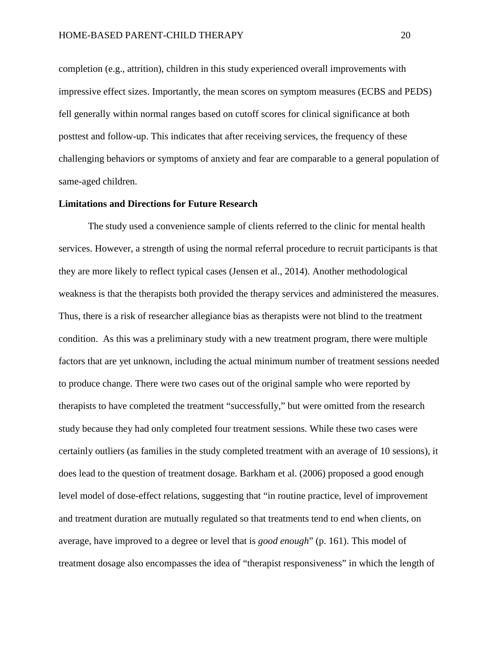completion (e.g., attrition), children in this study experienced overall improvements with impressive effect sizes. Importantly, the mean scores on symptom measures (ECBS and PEDS) fell generally within normal ranges based on cutoff scores for clinical significance at both posttest and follow-up. This indicates that after receiving services, the frequency of these challenging behaviors or symptoms of anxiety and fear are comparable to a general population of same-aged children.

#### **Limitations and Directions for Future Research**

The study used a convenience sample of clients referred to the clinic for mental health services. However, a strength of using the normal referral procedure to recruit participants is that they are more likely to reflect typical cases (Jensen et al., 2014). Another methodological weakness is that the therapists both provided the therapy services and administered the measures. Thus, there is a risk of researcher allegiance bias as therapists were not blind to the treatment condition. As this was a preliminary study with a new treatment program, there were multiple factors that are yet unknown, including the actual minimum number of treatment sessions needed to produce change. There were two cases out of the original sample who were reported by therapists to have completed the treatment "successfully," but were omitted from the research study because they had only completed four treatment sessions. While these two cases were certainly outliers (as families in the study completed treatment with an average of 10 sessions), it does lead to the question of treatment dosage. Barkham et al. (2006) proposed a good enough level model of dose-effect relations, suggesting that "in routine practice, level of improvement and treatment duration are mutually regulated so that treatments tend to end when clients, on average, have improved to a degree or level that is *good enough*" (p. 161). This model of treatment dosage also encompasses the idea of "therapist responsiveness" in which the length of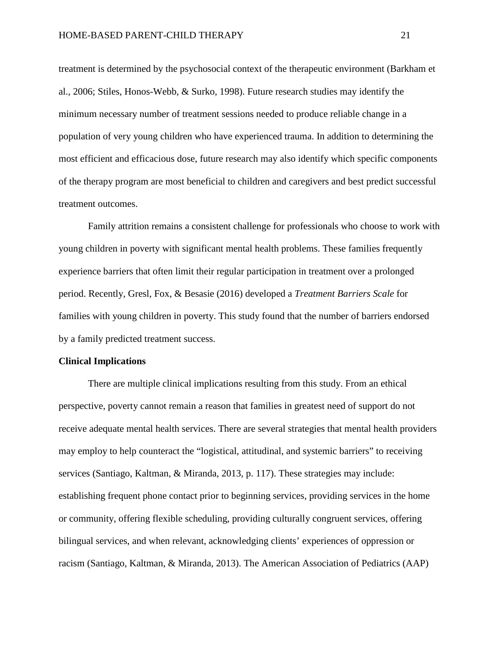treatment is determined by the psychosocial context of the therapeutic environment (Barkham et al., 2006; Stiles, Honos-Webb, & Surko, 1998). Future research studies may identify the minimum necessary number of treatment sessions needed to produce reliable change in a population of very young children who have experienced trauma. In addition to determining the most efficient and efficacious dose, future research may also identify which specific components of the therapy program are most beneficial to children and caregivers and best predict successful treatment outcomes.

Family attrition remains a consistent challenge for professionals who choose to work with young children in poverty with significant mental health problems. These families frequently experience barriers that often limit their regular participation in treatment over a prolonged period. Recently, Gresl, Fox, & Besasie (2016) developed a *Treatment Barriers Scale* for families with young children in poverty. This study found that the number of barriers endorsed by a family predicted treatment success.

#### **Clinical Implications**

There are multiple clinical implications resulting from this study. From an ethical perspective, poverty cannot remain a reason that families in greatest need of support do not receive adequate mental health services. There are several strategies that mental health providers may employ to help counteract the "logistical, attitudinal, and systemic barriers" to receiving services (Santiago, Kaltman, & Miranda, 2013, p. 117). These strategies may include: establishing frequent phone contact prior to beginning services, providing services in the home or community, offering flexible scheduling, providing culturally congruent services, offering bilingual services, and when relevant, acknowledging clients' experiences of oppression or racism (Santiago, Kaltman, & Miranda, 2013). The American Association of Pediatrics (AAP)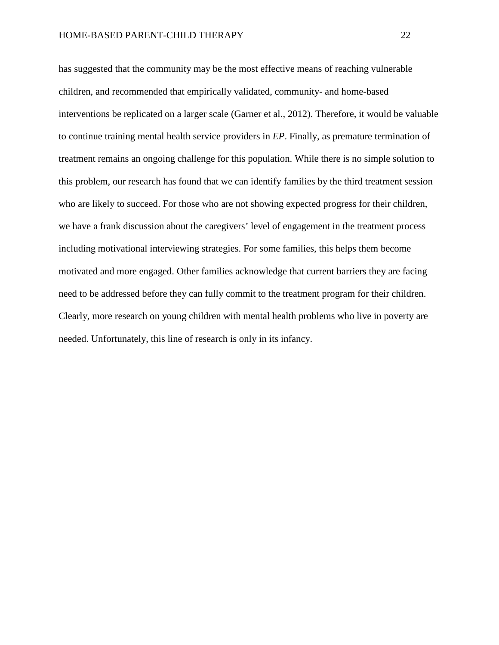has suggested that the community may be the most effective means of reaching vulnerable children, and recommended that empirically validated, community- and home-based interventions be replicated on a larger scale (Garner et al., 2012). Therefore, it would be valuable to continue training mental health service providers in *EP*. Finally, as premature termination of treatment remains an ongoing challenge for this population. While there is no simple solution to this problem, our research has found that we can identify families by the third treatment session who are likely to succeed. For those who are not showing expected progress for their children, we have a frank discussion about the caregivers' level of engagement in the treatment process including motivational interviewing strategies. For some families, this helps them become motivated and more engaged. Other families acknowledge that current barriers they are facing need to be addressed before they can fully commit to the treatment program for their children. Clearly, more research on young children with mental health problems who live in poverty are needed. Unfortunately, this line of research is only in its infancy.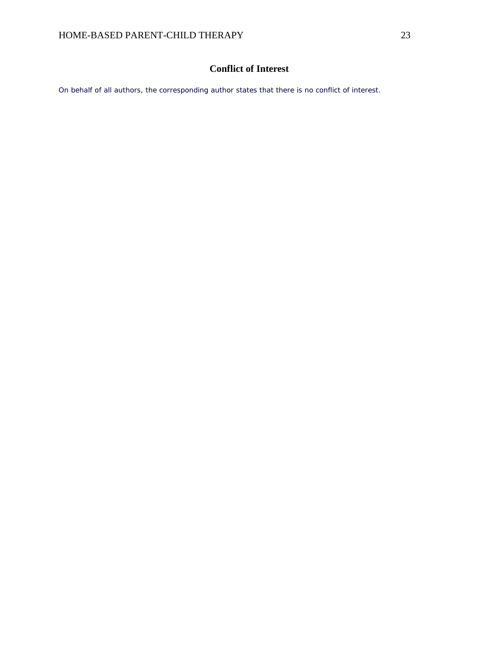# **Conflict of Interest**

On behalf of all authors, the corresponding author states that there is no conflict of interest.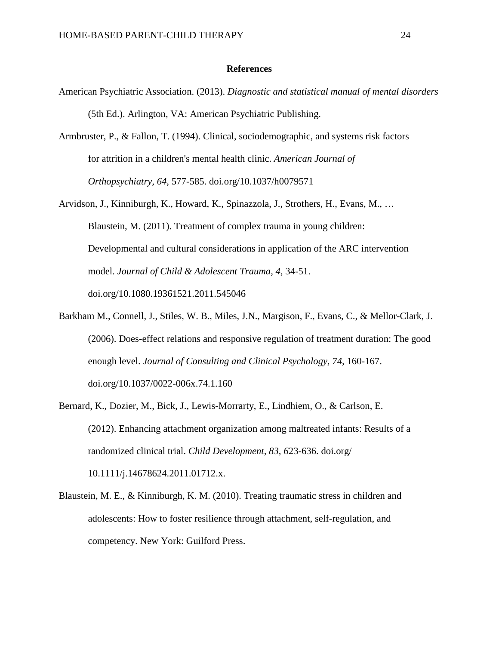#### **References**

- American Psychiatric Association. (2013). *Diagnostic and statistical manual of mental disorders* (5th Ed.). Arlington, VA: American Psychiatric Publishing.
- Armbruster, P., & Fallon, T. (1994). Clinical, sociodemographic, and systems risk factors for attrition in a children's mental health clinic. *American Journal of Orthopsychiatry, 64,* 577-585. doi.org/10.1037/h0079571
- Arvidson, J., Kinniburgh, K., Howard, K., Spinazzola, J., Strothers, H., Evans, M., … Blaustein, M. (2011). Treatment of complex trauma in young children: Developmental and cultural considerations in application of the ARC intervention model. *Journal of Child & Adolescent Trauma, 4,* 34-51. doi.org/10.1080.19361521.2011.545046
- Barkham M., Connell, J., Stiles, W. B., Miles, J.N., Margison, F., Evans, C., & Mellor-Clark, J. (2006). Does-effect relations and responsive regulation of treatment duration: The good enough level. *Journal of Consulting and Clinical Psychology, 74,* 160-167. doi.org/10.1037/0022-006x.74.1.160
- Bernard, K., Dozier, M., Bick, J., Lewis-Morrarty, E., Lindhiem, O., & Carlson, E. (2012). Enhancing attachment organization among maltreated infants: Results of a randomized clinical trial. *Child Development, 83, 6*23-636. doi.org/ 10.1111/j.14678624.2011.01712.x.
- Blaustein, M. E., & Kinniburgh, K. M. (2010). Treating traumatic stress in children and adolescents: How to foster resilience through attachment, self-regulation, and competency. New York: Guilford Press.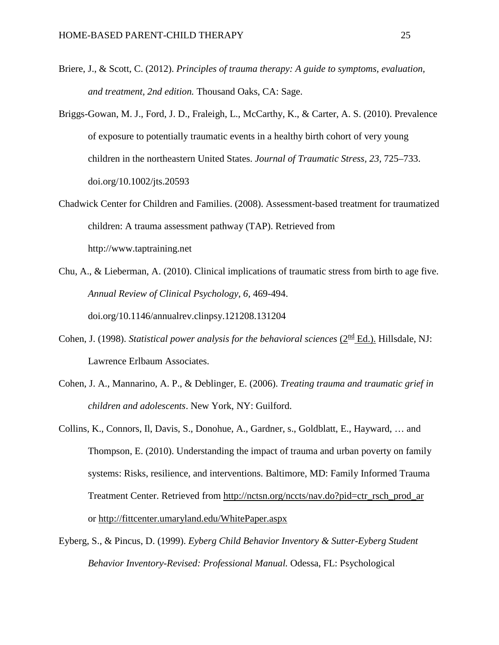- Briere, J., & Scott, C. (2012). *Principles of trauma therapy: A guide to symptoms, evaluation, and treatment, 2nd edition.* Thousand Oaks, CA: Sage.
- Briggs-Gowan, M. J., Ford, J. D., Fraleigh, L., McCarthy, K., & Carter, A. S. (2010). Prevalence of exposure to potentially traumatic events in a healthy birth cohort of very young children in the northeastern United States. *Journal of Traumatic Stress, 23,* 725–733. doi.org/10.1002/jts.20593
- Chadwick Center for Children and Families. (2008). Assessment-based treatment for traumatized children: A trauma assessment pathway (TAP). Retrieved from http://www.taptraining.net
- Chu, A., & Lieberman, A. (2010). Clinical implications of traumatic stress from birth to age five. *Annual Review of Clinical Psychology, 6,* 469-494. doi.org/10.1146/annualrev.clinpsy.121208.131204
- Cohen, J. (1998). *Statistical power analysis for the behavioral sciences* ( $2^{\text{nd}}$  Ed.). Hillsdale, NJ: Lawrence Erlbaum Associates.
- Cohen, J. A., Mannarino, A. P., & Deblinger, E. (2006). *Treating trauma and traumatic grief in children and adolescents*. New York, NY: Guilford.
- Collins, K., Connors, Il, Davis, S., Donohue, A., Gardner, s., Goldblatt, E., Hayward, … and Thompson, E. (2010). Understanding the impact of trauma and urban poverty on family systems: Risks, resilience, and interventions. Baltimore, MD: Family Informed Trauma Treatment Center. Retrieved from [http://nctsn.org/nccts/nav.do?pid=ctr\\_rsch\\_prod\\_ar](http://nctsn.org/nccts/nav.do?pid=ctr_rsch_prod_ar) or <http://fittcenter.umaryland.edu/WhitePaper.aspx>
- Eyberg, S., & Pincus, D. (1999). *Eyberg Child Behavior Inventory & Sutter-Eyberg Student Behavior Inventory-Revised: Professional Manual.* Odessa, FL: Psychological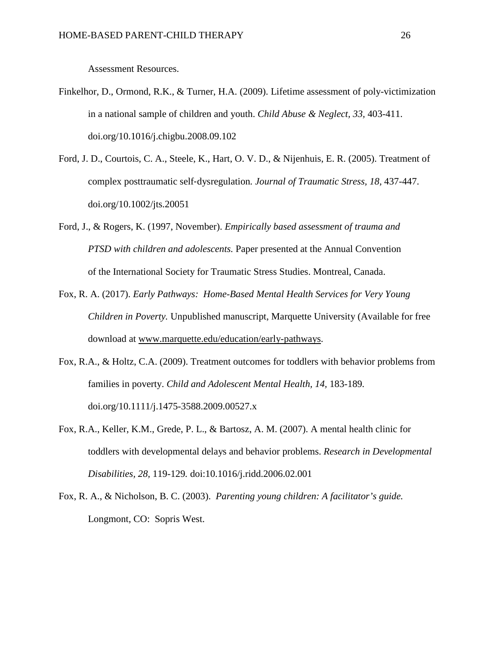Assessment Resources.

- Finkelhor, D., Ormond, R.K., & Turner, H.A. (2009). Lifetime assessment of poly-victimization in a national sample of children and youth. *Child Abuse & Neglect, 33,* 403-411. doi.org/10.1016/j.chigbu.2008.09.102
- Ford, J. D., Courtois, C. A., Steele, K., Hart, O. V. D., & Nijenhuis, E. R. (2005). Treatment of complex posttraumatic self‐dysregulation*. Journal of Traumatic Stress, 18,* 437-447. doi.org/10.1002/jts.20051
- Ford, J., & Rogers, K. (1997, November). *Empirically based assessment of trauma and PTSD with children and adolescents.* Paper presented at the Annual Convention of the International Society for Traumatic Stress Studies. Montreal, Canada.
- Fox, R. A. (2017). *Early Pathways: Home-Based Mental Health Services for Very Young Children in Poverty.* Unpublished manuscript, Marquette University (Available for free download at [www.marquette.edu/education/early-pathways.](http://www.marquette.edu/education/early-pathways)
- Fox, R.A., & Holtz, C.A. (2009). Treatment outcomes for toddlers with behavior problems from families in poverty. *Child and Adolescent Mental Health, 14,* 183-189*.* doi.org/10.1111/j.1475-3588.2009.00527.x
- Fox, R.A., Keller, K.M., Grede, P. L., & Bartosz, A. M. (2007). A mental health clinic for toddlers with developmental delays and behavior problems. *Research in Developmental Disabilities, 28,* 119-129*.* doi:10.1016/j.ridd.2006.02.001
- Fox, R. A., & Nicholson, B. C. (2003). *Parenting young children: A facilitator's guide.*  Longmont, CO: Sopris West.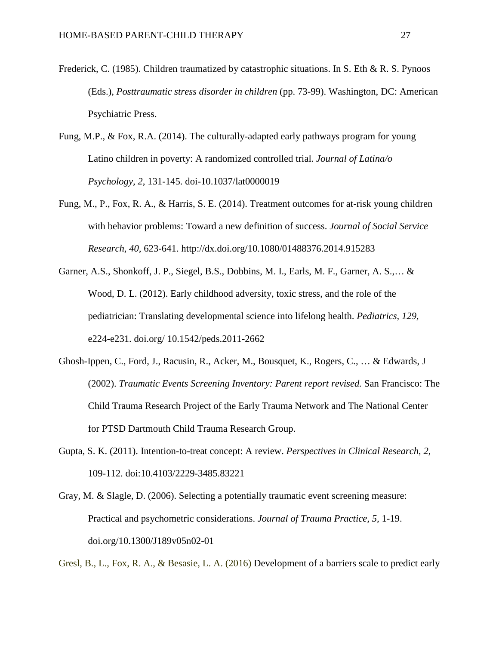- Frederick, C. (1985). Children traumatized by catastrophic situations. In S. Eth & R. S. Pynoos (Eds.), *Posttraumatic stress disorder in children* (pp. 73-99). Washington, DC: American Psychiatric Press.
- Fung, M.P., & Fox, R.A. (2014). The culturally-adapted early pathways program for young Latino children in poverty: A randomized controlled trial. *Journal of Latina/o Psychology, 2*, 131-145. doi-10.1037/lat0000019
- Fung, M., P., Fox, R. A., & Harris, S. E. (2014). Treatment outcomes for at-risk young children with behavior problems: Toward a new definition of success. *Journal of Social Service Research*, *40,* 623-641. http://dx.doi.org/10.1080/01488376.2014.915283
- Garner, A.S., Shonkoff, J. P., Siegel, B.S., Dobbins, M. I., Earls, M. F., Garner, A. S.,… & Wood, D. L. (2012). Early childhood adversity, toxic stress, and the role of the pediatrician: Translating developmental science into lifelong health. *Pediatrics, 129,* e224-e231. doi.org/ 10.1542/peds.2011-2662
- Ghosh-Ippen, C., Ford, J., Racusin, R., Acker, M., Bousquet, K., Rogers, C., … & Edwards, J (2002). *Traumatic Events Screening Inventory: Parent report revised.* San Francisco: The Child Trauma Research Project of the Early Trauma Network and The National Center for PTSD Dartmouth Child Trauma Research Group.
- Gupta, S. K. (2011). Intention-to-treat concept: A review. *Perspectives in Clinical Research*, *2,* 109-112. doi:10.4103/2229-3485.83221
- Gray, M. & Slagle, D. (2006). Selecting a potentially traumatic event screening measure: Practical and psychometric considerations. *Journal of Trauma Practice, 5,* 1-19. doi.org/10.1300/J189v05n02-01

Gresl, B., L., Fox, R. A., & Besasie, L. A. (2016) Development of a barriers scale to predict early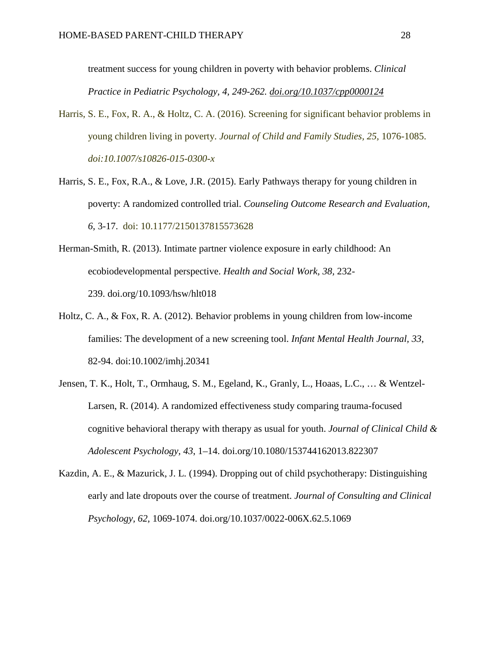treatment success for young children in poverty with behavior problems. *Clinical Practice in Pediatric Psychology, 4, 249-262. [doi.org/10.1037/cpp0000124](http://dx.doi.org/10.1037/cpp0000124)*

- Harris, S. E., Fox, R. A., & Holtz, C. A. (2016). Screening for significant behavior problems in young children living in poverty. *Journal of Child and Family Studies, 25,* 1076-1085. *doi:10.1007/s10826-015-0300-x*
- Harris, S. E., Fox, R.A., & Love, J.R. (2015). Early Pathways therapy for young children in poverty: A randomized controlled trial. *Counseling Outcome Research and Evaluation, 6,* 3-17. doi: 10.1177/2150137815573628
- Herman-Smith, R. (2013). Intimate partner violence exposure in early childhood: An ecobiodevelopmental perspective. *Health and Social Work, 38,* 232- 239. doi.org/10.1093/hsw/hlt018
- Holtz, C. A., & Fox, R. A. (2012). Behavior problems in young children from low-income families: The development of a new screening tool. *Infant Mental Health Journal, 33*, 82-94. doi:10.1002/imhj.20341
- Jensen, T. K., Holt, T., Ormhaug, S. M., Egeland, K., Granly, L., Hoaas, L.C., … & Wentzel-Larsen, R. (2014). A randomized effectiveness study comparing trauma-focused cognitive behavioral therapy with therapy as usual for youth. *Journal of Clinical Child & Adolescent Psychology, 43*, 1–14. doi.org/10.1080/153744162013.822307
- Kazdin, A. E., & Mazurick, J. L. (1994). Dropping out of child psychotherapy: Distinguishing early and late dropouts over the course of treatment. *Journal of Consulting and Clinical Psychology, 62,* 1069-1074. doi.org/10.1037/0022-006X.62.5.1069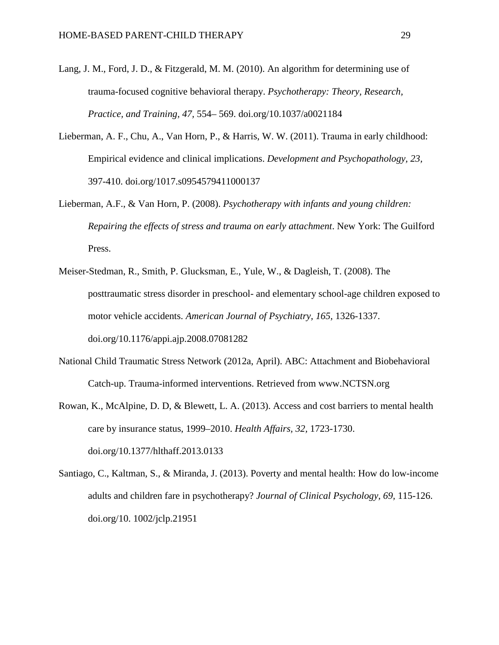- Lang, J. M., Ford, J. D., & Fitzgerald, M. M. (2010). An algorithm for determining use of trauma-focused cognitive behavioral therapy. *Psychotherapy: Theory, Research, Practice, and Training, 47,* 554– 569. doi.org/10.1037/a0021184
- Lieberman, A. F., Chu, A., Van Horn, P., & Harris, W. W. (2011). Trauma in early childhood: Empirical evidence and clinical implications. *Development and Psychopathology, 23,* 397-410. doi.org/1017.s0954579411000137
- Lieberman, A.F., & Van Horn, P. (2008). *Psychotherapy with infants and young children: Repairing the effects of stress and trauma on early attachment*. New York: The Guilford Press.
- Meiser-Stedman, R., Smith, P. Glucksman, E., Yule, W., & Dagleish, T. (2008). The posttraumatic stress disorder in preschool- and elementary school-age children exposed to motor vehicle accidents. *American Journal of Psychiatry, 165,* 1326-1337. doi.org/10.1176/appi.ajp.2008.07081282
- National Child Traumatic Stress Network (2012a, April). ABC: Attachment and Biobehavioral Catch-up. Trauma-informed interventions. Retrieved from www.NCTSN.org
- Rowan, K., McAlpine, D. D, & Blewett, L. A. (2013). Access and cost barriers to mental health care by insurance status, 1999–2010. *Health Affairs, 32,* 1723-1730. doi.org/10.1377/hlthaff.2013.0133
- Santiago, C., Kaltman, S., & Miranda, J. (2013). Poverty and mental health: How do low-income adults and children fare in psychotherapy? *Journal of Clinical Psychology, 69,* 115-126. doi.org/10. 1002/jclp.21951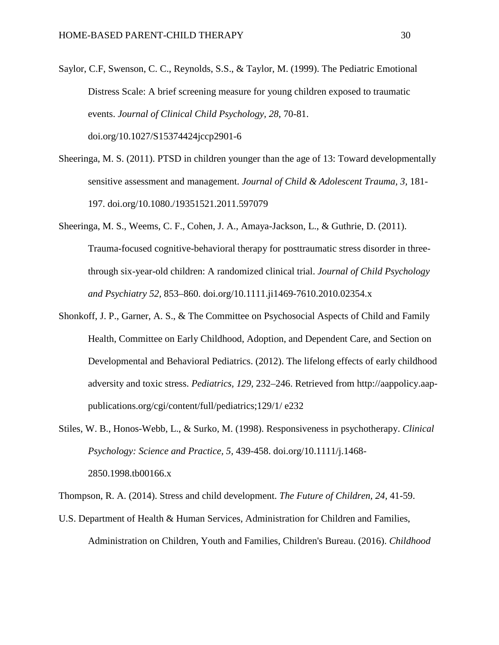- Saylor, C.F, Swenson, C. C., Reynolds, S.S., & Taylor, M. (1999). The Pediatric Emotional Distress Scale: A brief screening measure for young children exposed to traumatic events. *Journal of Clinical Child Psychology, 28*, 70-81. doi.org/10.1027/S15374424jccp2901-6
- Sheeringa, M. S. (2011). PTSD in children younger than the age of 13: Toward developmentally sensitive assessment and management. *Journal of Child & Adolescent Trauma, 3,* 181- 197. doi.org/10.1080./19351521.2011.597079
- Sheeringa, M. S., Weems, C. F., Cohen, J. A., Amaya-Jackson, L., & Guthrie, D. (2011). Trauma-focused cognitive-behavioral therapy for posttraumatic stress disorder in threethrough six-year-old children: A randomized clinical trial. *Journal of Child Psychology and Psychiatry 52,* 853–860. doi.org/10.1111.ji1469-7610.2010.02354.x
- Shonkoff, J. P., Garner, A. S., & The Committee on Psychosocial Aspects of Child and Family Health, Committee on Early Childhood, Adoption, and Dependent Care, and Section on Developmental and Behavioral Pediatrics. (2012). The lifelong effects of early childhood adversity and toxic stress. *Pediatrics, 129,* 232–246. Retrieved from http://aappolicy.aappublications.org/cgi/content/full/pediatrics;129/1/ e232
- Stiles, W. B., Honos-Webb, L., & Surko, M. (1998). Responsiveness in psychotherapy. *Clinical Psychology: Science and Practice, 5,* 439-458. doi.org/10.1111/j.1468- 2850.1998.tb00166.x

Thompson, R. A. (2014). Stress and child development. *The Future of Children, 24,* 41-59.

U.S. Department of Health & Human Services, Administration for Children and Families, Administration on Children, Youth and Families, Children's Bureau. (2016). *Childhood*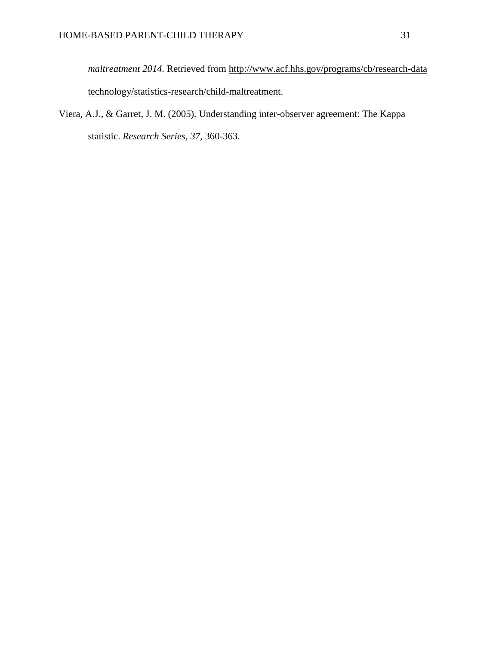*maltreatment 2014.* Retrieved from <http://www.acf.hhs.gov/programs/cb/research-data> technology/statistics-research/child-maltreatment.

Viera, A.J., & Garret, J. M. (2005). Understanding inter-observer agreement: The Kappa statistic. *Research Series, 37,* 360-363.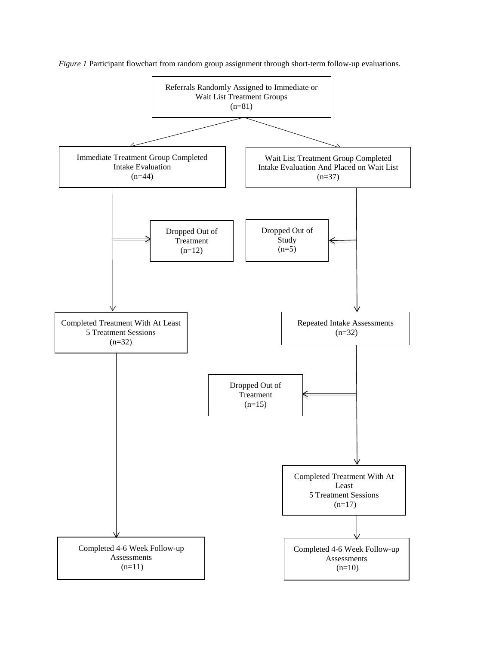

*Figure 1* Participant flowchart from random group assignment through short-term follow-up evaluations.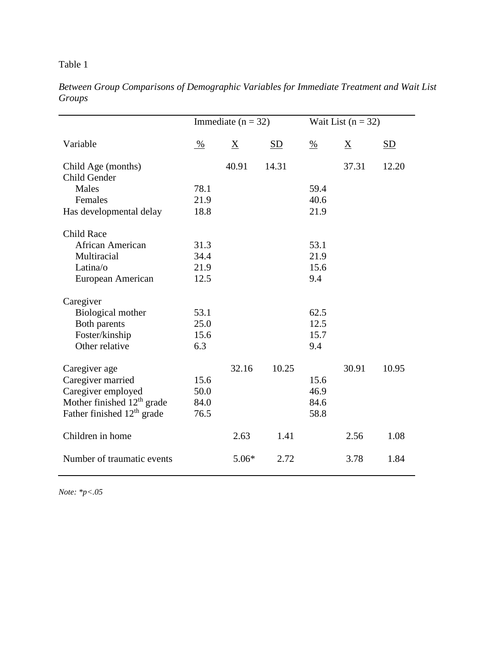# Table 1

|                                        | Immediate ( $n = 32$ ) |         |           | Wait List $(n = 32)$ |                 |       |
|----------------------------------------|------------------------|---------|-----------|----------------------|-----------------|-------|
| Variable                               | %                      | X       | <b>SD</b> | $\%$                 | $\underline{X}$ | SD    |
| Child Age (months)                     |                        | 40.91   | 14.31     |                      | 37.31           | 12.20 |
| Child Gender                           |                        |         |           |                      |                 |       |
| Males                                  | 78.1                   |         |           | 59.4                 |                 |       |
| Females                                | 21.9                   |         |           | 40.6                 |                 |       |
| Has developmental delay                | 18.8                   |         |           | 21.9                 |                 |       |
| <b>Child Race</b>                      |                        |         |           |                      |                 |       |
| African American                       | 31.3                   |         |           | 53.1                 |                 |       |
| Multiracial                            | 34.4                   |         |           | 21.9                 |                 |       |
| Latina/o                               | 21.9                   |         |           | 15.6                 |                 |       |
| European American                      | 12.5                   |         |           | 9.4                  |                 |       |
| Caregiver                              |                        |         |           |                      |                 |       |
| Biological mother                      | 53.1                   |         |           | 62.5                 |                 |       |
| Both parents                           | 25.0                   |         |           | 12.5                 |                 |       |
| Foster/kinship                         | 15.6                   |         |           | 15.7                 |                 |       |
| Other relative                         | 6.3                    |         |           | 9.4                  |                 |       |
| Caregiver age                          |                        | 32.16   | 10.25     |                      | 30.91           | 10.95 |
| Caregiver married                      | 15.6                   |         |           | 15.6                 |                 |       |
| Caregiver employed                     | 50.0                   |         |           | 46.9                 |                 |       |
| Mother finished 12 <sup>th</sup> grade | 84.0                   |         |           | 84.6                 |                 |       |
| Father finished 12 <sup>th</sup> grade | 76.5                   |         |           | 58.8                 |                 |       |
| Children in home                       |                        | 2.63    | 1.41      |                      | 2.56            | 1.08  |
| Number of traumatic events             |                        | $5.06*$ | 2.72      |                      | 3.78            | 1.84  |

*Between Group Comparisons of Demographic Variables for Immediate Treatment and Wait List Groups*

*Note: \*p<.05*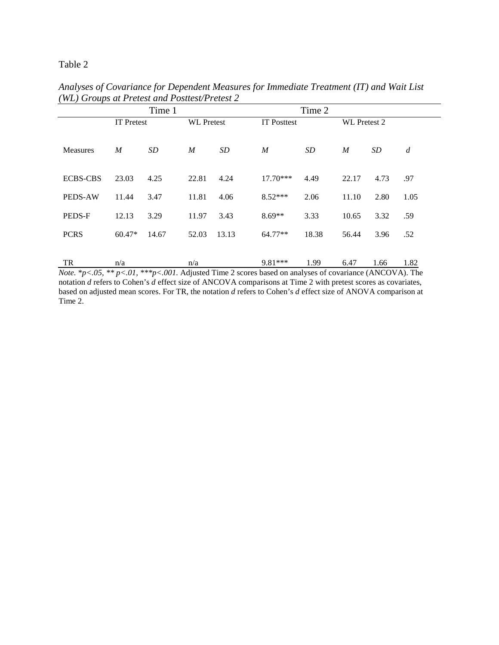# Table 2

|                 | Time 1            |           |                   |       |                    | Time 2 |                     |      |                |
|-----------------|-------------------|-----------|-------------------|-------|--------------------|--------|---------------------|------|----------------|
|                 | <b>IT Pretest</b> |           | <b>WL</b> Pretest |       | <b>IT Posttest</b> |        | <b>WL</b> Pretest 2 |      |                |
|                 |                   |           |                   |       |                    |        |                     |      |                |
| <b>Measures</b> | $\overline{M}$    | <b>SD</b> | $\boldsymbol{M}$  | SD    | $\boldsymbol{M}$   | SD     | $\boldsymbol{M}$    | SD   | $\overline{d}$ |
|                 |                   |           |                   |       |                    |        |                     |      |                |
| <b>ECBS-CBS</b> | 23.03             | 4.25      | 22.81             | 4.24  | $17.70***$         | 4.49   | 22.17               | 4.73 | .97            |
| <b>PEDS-AW</b>  | 11.44             | 3.47      | 11.81             | 4.06  | $8.52***$          | 2.06   | 11.10               | 2.80 | 1.05           |
| PEDS-F          | 12.13             | 3.29      | 11.97             | 3.43  | $8.69**$           | 3.33   | 10.65               | 3.32 | .59            |
| <b>PCRS</b>     | 60.47*            | 14.67     | 52.03             | 13.13 | 64.77**            | 18.38  | 56.44               | 3.96 | .52            |
|                 |                   |           |                   |       |                    |        |                     |      |                |
| TR              | n/a               |           | n/a               |       | 9.81***            | 1.99   | 6.47                | 1.66 | 1.82           |

*Analyses of Covariance for Dependent Measures for Immediate Treatment (IT) and Wait List (WL) Groups at Pretest and Posttest/Pretest 2*

*Note.* \**p<.05, \*\* p<.01, \*\*\*p<.001.* Adjusted Time 2 scores based on analyses of covariance (ANCOVA). The notation *d* refers to Cohen's *d* effect size of ANCOVA comparisons at Time 2 with pretest scores as covariates, based on adjusted mean scores. For TR, the notation *d* refers to Cohen's *d* effect size of ANOVA comparison at Time 2.